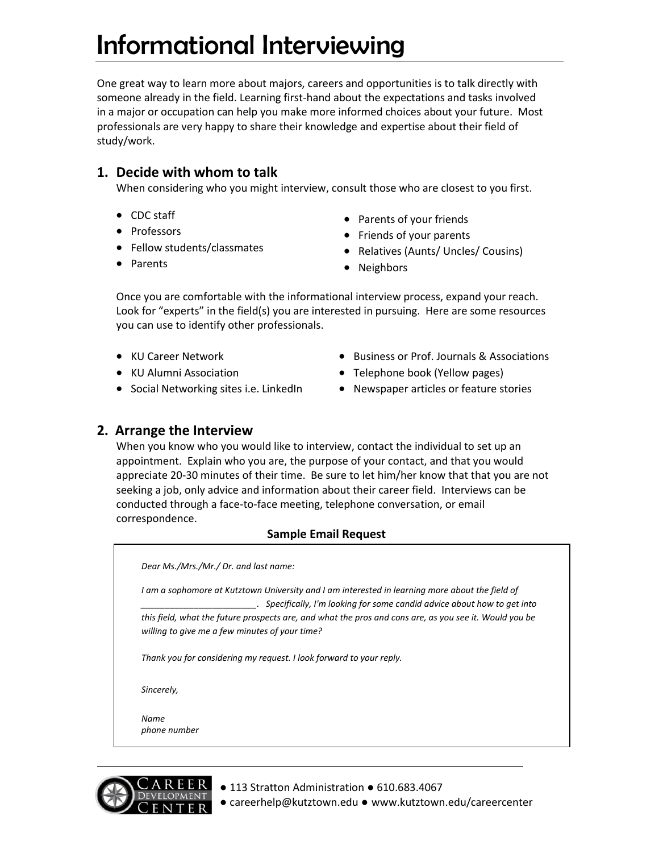# Informational Interviewing

One great way to learn more about majors, careers and opportunities is to talk directly with someone already in the field. Learning first-hand about the expectations and tasks involved in a major or occupation can help you make more informed choices about your future. Most professionals are very happy to share their knowledge and expertise about their field of study/work.

# **1. Decide with whom to talk**

When considering who you might interview, consult those who are closest to you first.

- CDC staff
- Professors
- Fellow students/classmates
- Parents
- Parents of your friends
- Friends of your parents
- Relatives (Aunts/ Uncles/ Cousins)
- Neighbors

Once you are comfortable with the informational interview process, expand your reach. Look for "experts" in the field(s) you are interested in pursuing. Here are some resources you can use to identify other professionals.

KU Career Network

- Business or Prof. Journals & Associations
- KU Alumni Association
- Social Networking sites i.e. LinkedIn
- Telephone book (Yellow pages) • Newspaper articles or feature stories
- 

## **2. Arrange the Interview**

When you know who you would like to interview, contact the individual to set up an appointment. Explain who you are, the purpose of your contact, and that you would appreciate 20-30 minutes of their time. Be sure to let him/her know that that you are not seeking a job, only advice and information about their career field. Interviews can be conducted through a face-to-face meeting, telephone conversation, or email correspondence.

#### **Sample Email Request**

*Dear Ms./Mrs./Mr./ Dr. and last name:*

*I am a sophomore at Kutztown University and I am interested in learning more about the field of \_\_\_\_\_\_\_\_\_\_\_\_\_\_\_\_\_\_\_\_\_\_\_\_. Specifically, I'm looking for some candid advice about how to get into this field, what the future prospects are, and what the pros and cons are, as you see it. Would you be willing to give me a few minutes of your time?* 

*Thank you for considering my request. I look forward to your reply.*

*Sincerely,*

*Name phone number*



- 113 Stratton Administration 610.683.4067
- careerhelp@kutztown.edu www.kutztown.edu/careercenter